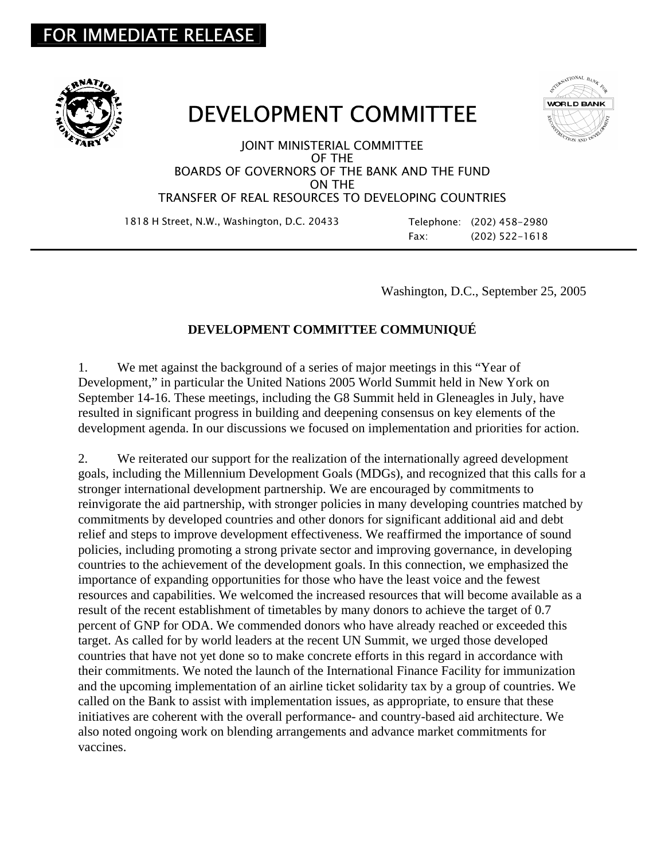## FOR IMMEDIATE RELEASE





## DEVELOPMENT COMMITTEE

JOINT MINISTERIAL COMMITTEE OF THE BOARDS OF GOVERNORS OF THE BANK AND THE FUND ON THE TRANSFER OF REAL RESOURCES TO DEVELOPING COUNTRIES

1818 H Street, N.W., Washington, D.C. 20433 Telephone: (202) 458-2980

Fax: (202) 522-1618

Washington, D.C., September 25, 2005

## **DEVELOPMENT COMMITTEE COMMUNIQUÉ**

1. We met against the background of a series of major meetings in this "Year of Development," in particular the United Nations 2005 World Summit held in New York on September 14-16. These meetings, including the G8 Summit held in Gleneagles in July, have resulted in significant progress in building and deepening consensus on key elements of the development agenda. In our discussions we focused on implementation and priorities for action.

2. We reiterated our support for the realization of the internationally agreed development goals, including the Millennium Development Goals (MDGs), and recognized that this calls for a stronger international development partnership. We are encouraged by commitments to reinvigorate the aid partnership, with stronger policies in many developing countries matched by commitments by developed countries and other donors for significant additional aid and debt relief and steps to improve development effectiveness. We reaffirmed the importance of sound policies, including promoting a strong private sector and improving governance, in developing countries to the achievement of the development goals. In this connection, we emphasized the importance of expanding opportunities for those who have the least voice and the fewest resources and capabilities. We welcomed the increased resources that will become available as a result of the recent establishment of timetables by many donors to achieve the target of 0.7 percent of GNP for ODA. We commended donors who have already reached or exceeded this target. As called for by world leaders at the recent UN Summit, we urged those developed countries that have not yet done so to make concrete efforts in this regard in accordance with their commitments. We noted the launch of the International Finance Facility for immunization and the upcoming implementation of an airline ticket solidarity tax by a group of countries. We called on the Bank to assist with implementation issues, as appropriate, to ensure that these initiatives are coherent with the overall performance- and country-based aid architecture. We also noted ongoing work on blending arrangements and advance market commitments for vaccines.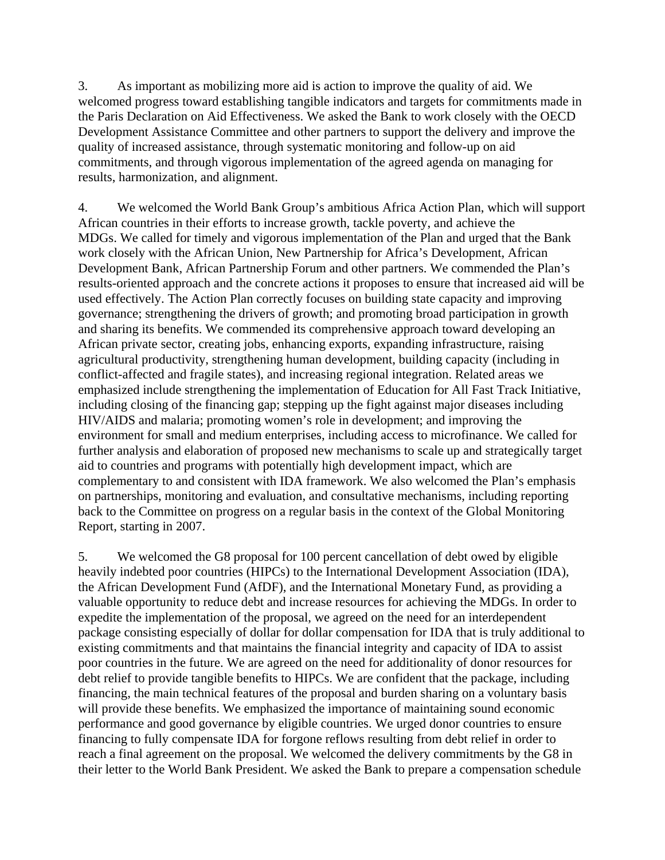3. As important as mobilizing more aid is action to improve the quality of aid. We welcomed progress toward establishing tangible indicators and targets for commitments made in the Paris Declaration on Aid Effectiveness. We asked the Bank to work closely with the OECD Development Assistance Committee and other partners to support the delivery and improve the quality of increased assistance, through systematic monitoring and follow-up on aid commitments, and through vigorous implementation of the agreed agenda on managing for results, harmonization, and alignment.

4. We welcomed the World Bank Group's ambitious Africa Action Plan, which will support African countries in their efforts to increase growth, tackle poverty, and achieve the MDGs. We called for timely and vigorous implementation of the Plan and urged that the Bank work closely with the African Union, New Partnership for Africa's Development, African Development Bank, African Partnership Forum and other partners. We commended the Plan's results-oriented approach and the concrete actions it proposes to ensure that increased aid will be used effectively. The Action Plan correctly focuses on building state capacity and improving governance; strengthening the drivers of growth; and promoting broad participation in growth and sharing its benefits. We commended its comprehensive approach toward developing an African private sector, creating jobs, enhancing exports, expanding infrastructure, raising agricultural productivity, strengthening human development, building capacity (including in conflict-affected and fragile states), and increasing regional integration. Related areas we emphasized include strengthening the implementation of Education for All Fast Track Initiative, including closing of the financing gap; stepping up the fight against major diseases including HIV/AIDS and malaria; promoting women's role in development; and improving the environment for small and medium enterprises, including access to microfinance. We called for further analysis and elaboration of proposed new mechanisms to scale up and strategically target aid to countries and programs with potentially high development impact, which are complementary to and consistent with IDA framework. We also welcomed the Plan's emphasis on partnerships, monitoring and evaluation, and consultative mechanisms, including reporting back to the Committee on progress on a regular basis in the context of the Global Monitoring Report, starting in 2007.

5. We welcomed the G8 proposal for 100 percent cancellation of debt owed by eligible heavily indebted poor countries (HIPCs) to the International Development Association (IDA), the African Development Fund (AfDF), and the International Monetary Fund, as providing a valuable opportunity to reduce debt and increase resources for achieving the MDGs. In order to expedite the implementation of the proposal, we agreed on the need for an interdependent package consisting especially of dollar for dollar compensation for IDA that is truly additional to existing commitments and that maintains the financial integrity and capacity of IDA to assist poor countries in the future. We are agreed on the need for additionality of donor resources for debt relief to provide tangible benefits to HIPCs. We are confident that the package, including financing, the main technical features of the proposal and burden sharing on a voluntary basis will provide these benefits. We emphasized the importance of maintaining sound economic performance and good governance by eligible countries. We urged donor countries to ensure financing to fully compensate IDA for forgone reflows resulting from debt relief in order to reach a final agreement on the proposal. We welcomed the delivery commitments by the G8 in their letter to the World Bank President. We asked the Bank to prepare a compensation schedule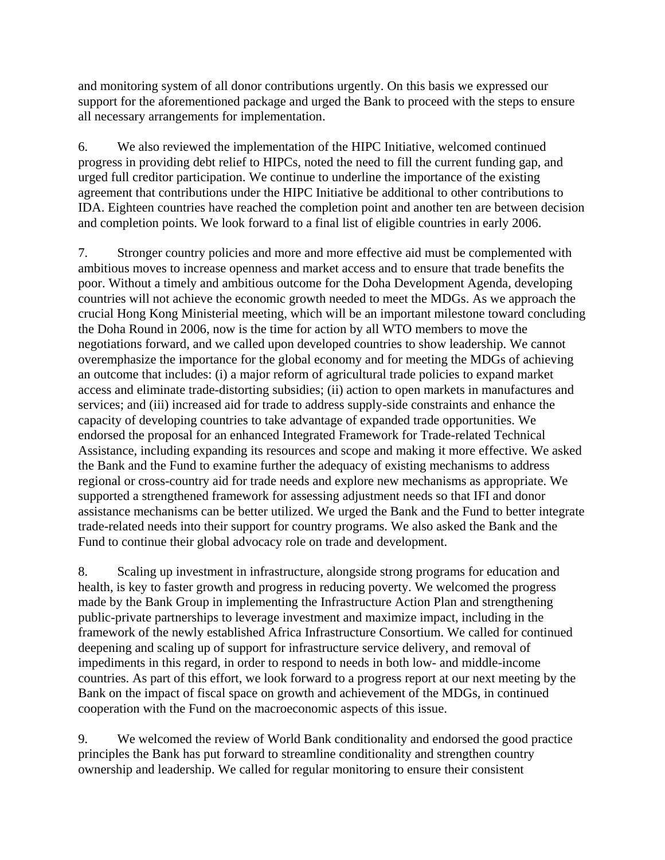and monitoring system of all donor contributions urgently. On this basis we expressed our support for the aforementioned package and urged the Bank to proceed with the steps to ensure all necessary arrangements for implementation.

6. We also reviewed the implementation of the HIPC Initiative, welcomed continued progress in providing debt relief to HIPCs, noted the need to fill the current funding gap, and urged full creditor participation. We continue to underline the importance of the existing agreement that contributions under the HIPC Initiative be additional to other contributions to IDA. Eighteen countries have reached the completion point and another ten are between decision and completion points. We look forward to a final list of eligible countries in early 2006.

7. Stronger country policies and more and more effective aid must be complemented with ambitious moves to increase openness and market access and to ensure that trade benefits the poor. Without a timely and ambitious outcome for the Doha Development Agenda, developing countries will not achieve the economic growth needed to meet the MDGs. As we approach the crucial Hong Kong Ministerial meeting, which will be an important milestone toward concluding the Doha Round in 2006, now is the time for action by all WTO members to move the negotiations forward, and we called upon developed countries to show leadership. We cannot overemphasize the importance for the global economy and for meeting the MDGs of achieving an outcome that includes: (i) a major reform of agricultural trade policies to expand market access and eliminate trade-distorting subsidies; (ii) action to open markets in manufactures and services; and (iii) increased aid for trade to address supply-side constraints and enhance the capacity of developing countries to take advantage of expanded trade opportunities. We endorsed the proposal for an enhanced Integrated Framework for Trade-related Technical Assistance, including expanding its resources and scope and making it more effective. We asked the Bank and the Fund to examine further the adequacy of existing mechanisms to address regional or cross-country aid for trade needs and explore new mechanisms as appropriate. We supported a strengthened framework for assessing adjustment needs so that IFI and donor assistance mechanisms can be better utilized. We urged the Bank and the Fund to better integrate trade-related needs into their support for country programs. We also asked the Bank and the Fund to continue their global advocacy role on trade and development.

8. Scaling up investment in infrastructure, alongside strong programs for education and health, is key to faster growth and progress in reducing poverty. We welcomed the progress made by the Bank Group in implementing the Infrastructure Action Plan and strengthening public-private partnerships to leverage investment and maximize impact, including in the framework of the newly established Africa Infrastructure Consortium. We called for continued deepening and scaling up of support for infrastructure service delivery, and removal of impediments in this regard, in order to respond to needs in both low- and middle-income countries. As part of this effort, we look forward to a progress report at our next meeting by the Bank on the impact of fiscal space on growth and achievement of the MDGs, in continued cooperation with the Fund on the macroeconomic aspects of this issue.

9. We welcomed the review of World Bank conditionality and endorsed the good practice principles the Bank has put forward to streamline conditionality and strengthen country ownership and leadership. We called for regular monitoring to ensure their consistent